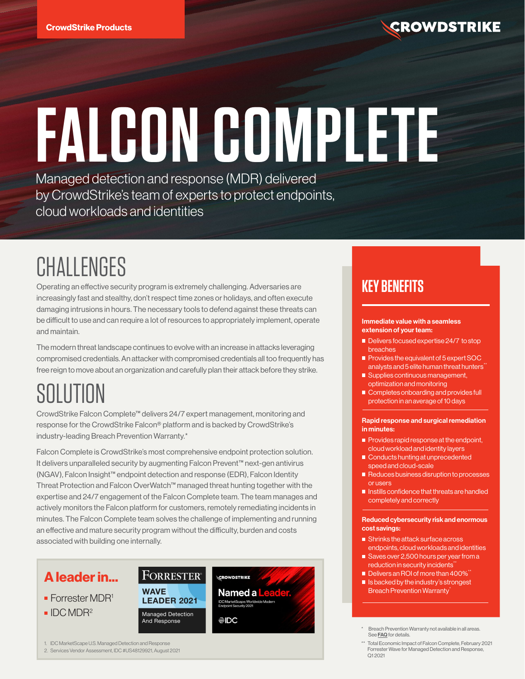

# **FALCON COMPLETE**  Managed detection and response (MDR) delivered

by CrowdStrike's team of experts to protect endpoints, cloud workloads and identities

# CHALLENGES

Operating an effective security program is extremely challenging. Adversaries are increasingly fast and stealthy, don't respect time zones or holidays, and often execute damaging intrusions in hours. The necessary tools to defend against these threats can be difficult to use and can require a lot of resources to appropriately implement, operate and maintain.

The modern threat landscape continues to evolve with an increase in attacks leveraging compromised credentials. An attacker with compromised credentials all too frequently has free reign to move about an organization and carefully plan their attack before they strike.

# SOLUTION

CrowdStrike Falcon Complete™ delivers 24/7 expert management, monitoring and response for the CrowdStrike Falcon® platform and is backed by CrowdStrike's industry-leading Breach Prevention Warranty.\*

Falcon Complete is CrowdStrike's most comprehensive endpoint protection solution. It delivers unparalleled security by augmenting Falcon Prevent™ next-gen antivirus (NGAV), Falcon Insight™ endpoint detection and response (EDR), Falcon Identity Threat Protection and Falcon OverWatch™ managed threat hunting together with the expertise and 24/7 engagement of the Falcon Complete team. The team manages and actively monitors the Falcon platform for customers, remotely remediating incidents in minutes. The Falcon Complete team solves the challenge of implementing and running an effective and mature security program without the difficulty, burden and costs associated with building one internally.



1. IDC MarketScape U.S. Managed Detection and Response

2. Services Vendor Assessment, IDC #US48129921, August 2021

# **KEY BENEFITS**

#### Immediate value with a seamless extension of your team:

- Delivers focused expertise 24/7 to stop breaches
- Provides the equivalent of 5 expert SOC analysts and 5 elite human threat hunters<sup>\*\*</sup>
- Supplies continuous management, optimization and monitoring
- Completes onboarding and provides full protection in an average of 10 days

#### Rapid response and surgical remediation in minutes:

- $\blacksquare$  Provides rapid response at the endpoint, cloud workload and identity layers
- Conducts hunting at unprecedented speed and cloud-scale
- Reduces business disruption to processes or users
- Instills confidence that threats are handled completely and correctly

#### Reduced cybersecurity risk and enormous cost savings:

- **Shrinks the attack surface across** endpoints, cloud workloads and identities
- Saves over 2,500 hours per year from a reduction in security incidents<sup>\*</sup>
- $\blacksquare$  Delivers an ROI of more than 400% $^*$
- $\blacksquare$  Is backed by the industry's strongest **Breach Prevention Warranty**
- Breach Prevention Warranty not available in all areas. See [FAQ](https://www.crowdstrike.com/endpoint-security-products/falcon-complete/crowdstrike-falcon-complete-endpoint-protection-warranty-faq/) for details.
- Total Economic Impact of Falcon Complete, February 2021 Forrester Wave for Managed Detection and Response, Q1 2021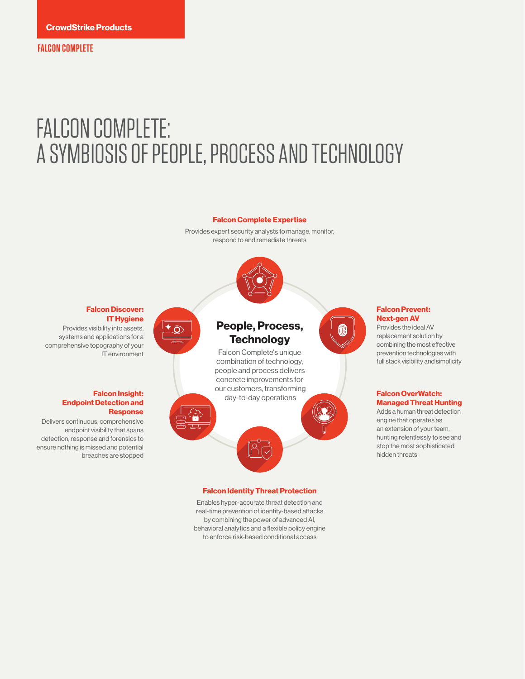# FALCON COMPLETE: A SYMBIOSIS OF PEOPLE, PROCESS AND TECHNOLOGY

#### **Falcon Complete Expertise**

Provides expert security analysts to manage, monitor, respond to and remediate threats



#### **Falcon Discover: IT Hygiene**

 $\overline{\mathcal{L}}$ 

Provides visibility into assets, systems and applications for a comprehensive topography of your IT environment

#### **Falcon Insight: Endpoint Detection and Response**

Delivers continuous, comprehensive endpoint visibility that spans detection, response and forensics to ensure nothing is missed and potential breaches are stopped

### **People, Process, Technology**

Falcon Complete's unique combination of technology, people and process delivers concrete improvements for our customers, transforming day-to-day operations

#### **Falcon Identity Threat Protection**

اللي

Enables hyper-accurate threat detection and real-time prevention of identity-based attacks by combining the power of advanced AI, behavioral analytics and a flexible policy engine to enforce risk-based conditional access

#### **Falcon Prevent: Next-gen AV**

Provides the ideal AV replacement solution by combining the most effective prevention technologies with full stack visibility and simplicity

#### **Falcon OverWatch: Managed Threat Hunting**

Adds a human threat detection engine that operates as an extension of your team, hunting relentlessly to see and stop the most sophisticated hidden threats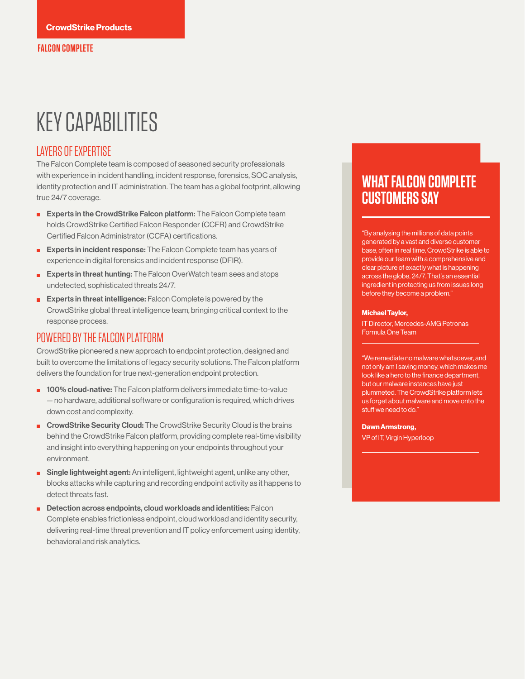# KEY CAPABILITIES

### LAYERS OF EXPERTISE

The Falcon Complete team is composed of seasoned security professionals with experience in incident handling, incident response, forensics, SOC analysis, identity protection and IT administration. The team has a global footprint, allowing true 24/7 coverage.

- **Experts in the CrowdStrike Falcon platform:** The Falcon Complete team holds CrowdStrike Certified Falcon Responder (CCFR) and CrowdStrike Certified Falcon Administrator (CCFA) certifications.
- **Experts in incident response:** The Falcon Complete team has years of experience in digital forensics and incident response (DFIR).
- **Experts in threat hunting:** The Falcon OverWatch team sees and stops undetected, sophisticated threats 24/7.
- **Experts in threat intelligence:** Falcon Complete is powered by the CrowdStrike global threat intelligence team, bringing critical context to the response process.

#### POWERED BY THE FALCON PLATFORM

CrowdStrike pioneered a new approach to endpoint protection, designed and built to overcome the limitations of legacy security solutions. The Falcon platform delivers the foundation for true next-generation endpoint protection.

- **100% cloud-native:** The Falcon platform delivers immediate time-to-value — no hardware, additional software or configuration is required, which drives down cost and complexity.
- **E** CrowdStrike Security Cloud: The CrowdStrike Security Cloud is the brains behind the CrowdStrike Falcon platform, providing complete real-time visibility and insight into everything happening on your endpoints throughout your environment.
- **Bingle lightweight agent:** An intelligent, lightweight agent, unlike any other, blocks attacks while capturing and recording endpoint activity as it happens to detect threats fast.
- Detection across endpoints, cloud workloads and identities: Falcon Complete enables frictionless endpoint, cloud workload and identity security, delivering real-time threat prevention and IT policy enforcement using identity, behavioral and risk analytics.

# **WHAT FALCON COMPLETE CUSTOMERS SAY**

"By analysing the millions of data points generated by a vast and diverse customer base, often in real time, CrowdStrike is able to provide our team with a comprehensive and clear picture of exactly what is happening across the globe, 24/7. That's an essential ingredient in protecting us from issues long before they become a problem."

#### **Michael Taylor,**

IT Director, Mercedes-AMG Petronas Formula One Team

"We remediate no malware whatsoever, and not only am I saving money, which makes me look like a hero to the finance department, but our malware instances have just plummeted. The CrowdStrike platform lets us forget about malware and move onto the stuff we need to do."

**Dawn Armstrong,**

VP of IT, Virgin Hyperloop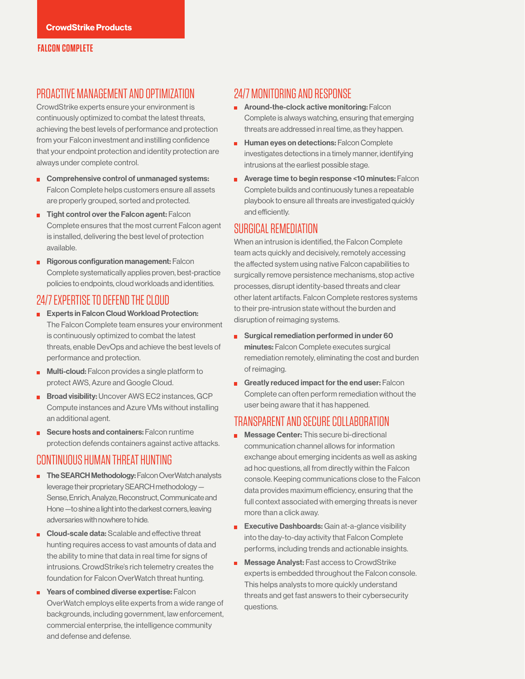#### **FALCON COMPLETE**

### PROACTIVE MANAGEMENT AND OPTIMIZATION

CrowdStrike experts ensure your environment is continuously optimized to combat the latest threats, achieving the best levels of performance and protection from your Falcon investment and instilling confidence that your endpoint protection and identity protection are always under complete control.

- Comprehensive control of unmanaged systems: Falcon Complete helps customers ensure all assets are properly grouped, sorted and protected.
- $\blacksquare$  Tight control over the Falcon agent: Falcon Complete ensures that the most current Falcon agent is installed, delivering the best level of protection available.
- **Rigorous configuration management: Falcon** Complete systematically applies proven, best-practice policies to endpoints, cloud workloads and identities.

### 24/7 EXPERTISE TO DEFEND THE CLOUD

- **Experts in Falcon Cloud Workload Protection:** The Falcon Complete team ensures your environment is continuously optimized to combat the latest threats, enable DevOps and achieve the best levels of performance and protection.
- $\blacksquare$  Multi-cloud: Falcon provides a single platform to protect AWS, Azure and Google Cloud.
- **Broad visibility:** Uncover AWS EC2 instances, GCP Compute instances and Azure VMs without installing an additional agent.
- Secure hosts and containers: Falcon runtime protection defends containers against active attacks.

# CONTINUOUS HUMAN THREAT HUNTING

- **The SEARCH Methodology:** Falcon OverWatch analysts leverage their proprietary SEARCH methodology — Sense, Enrich, Analyze, Reconstruct, Communicate and Hone —to shine a light into the darkest corners, leaving adversaries with nowhere to hide.
- Cloud-scale data: Scalable and effective threat hunting requires access to vast amounts of data and the ability to mine that data in real time for signs of intrusions. CrowdStrike's rich telemetry creates the foundation for Falcon OverWatch threat hunting.
- **PEDITE:** Years of combined diverse expertise: Falcon OverWatch employs elite experts from a wide range of backgrounds, including government, law enforcement, commercial enterprise, the intelligence community and defense and defense.

### 24/7 MONITORING AND RESPONSE

- **Around-the-clock active monitoring: Falcon** Complete is always watching, ensuring that emerging threats are addressed in real time, as they happen.
- **Human eyes on detections: Falcon Complete** investigates detections in a timely manner, identifying intrusions at the earliest possible stage.
- **Average time to begin response <10 minutes: Falcon** Complete builds and continuously tunes a repeatable playbook to ensure all threats are investigated quickly and efficiently.

#### SURGICAL REMEDIATION

When an intrusion is identified, the Falcon Complete team acts quickly and decisively, remotely accessing the affected system using native Falcon capabilities to surgically remove persistence mechanisms, stop active processes, disrupt identity-based threats and clear other latent artifacts. Falcon Complete restores systems to their pre-intrusion state without the burden and disruption of reimaging systems.

- Surgical remediation performed in under 60 minutes: Falcon Complete executes surgical remediation remotely, eliminating the cost and burden of reimaging.
- Greatly reduced impact for the end user: Falcon Complete can often perform remediation without the user being aware that it has happened.

#### TRANSPARENT AND SECURE COLLABORATION

- Message Center: This secure bi-directional communication channel allows for information exchange about emerging incidents as well as asking ad hoc questions, all from directly within the Falcon console. Keeping communications close to the Falcon data provides maximum efficiency, ensuring that the full context associated with emerging threats is never more than a click away.
- **Executive Dashboards:** Gain at-a-glance visibility into the day-to-day activity that Falcon Complete performs, including trends and actionable insights.
- **Message Analyst:** Fast access to CrowdStrike experts is embedded throughout the Falcon console. This helps analysts to more quickly understand threats and get fast answers to their cybersecurity questions.